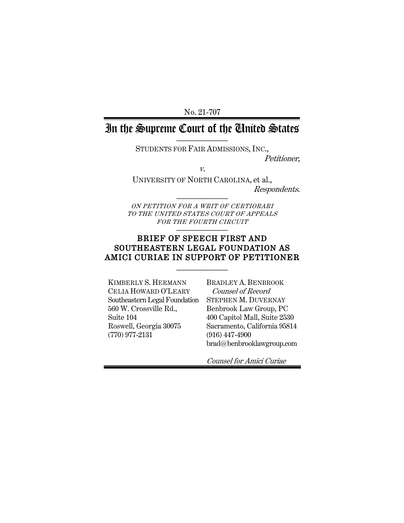No. 21-707

# In the Supreme Court of the United States

STUDENTS FOR FAIR ADMISSIONS, INC.,

Petitioner,

v.

UNIVERSITY OF NORTH CAROLINA, et al., Respondents. \_\_\_\_\_\_\_\_\_\_\_\_\_

ON PETITION FOR A WRIT OF CERTIORARI TO THE UNITED STATES COURT OF APPEALS FOR THE FOURTH CIRCUIT

### BRIEF OF SPEECH FIRST AND SOUTHEASTERN LEGAL FOUNDATION AS AMICI CURIAE IN SUPPORT OF PETITIONER

 $\frac{1}{2}$ 

KIMBERLY S. HERMANN CELIA HOWARD O'LEARY Southeastern Legal Foundation 560 W. Crossville Rd., Suite 104 Roswell, Georgia 30075 (770) 977-2131

BRADLEY A. BENBROOK Counsel of Record STEPHEN M. DUVERNAY Benbrook Law Group, PC 400 Capitol Mall, Suite 2530 Sacramento, California 95814 (916) 447-4900 brad@benbrooklawgroup.com

Counsel for Amici Curiae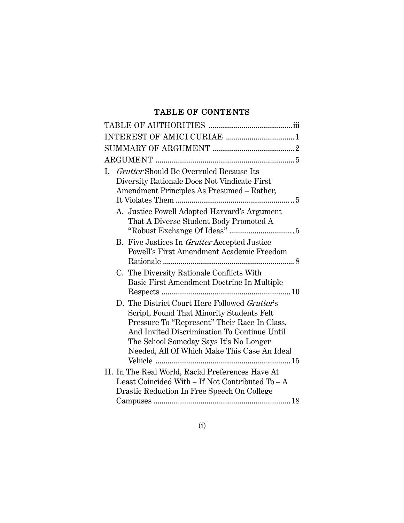## TABLE OF CONTENTS

| Grutter Should Be Overruled Because Its<br>I.<br>Diversity Rationale Does Not Vindicate First<br>Amendment Principles As Presumed - Rather,                                                                                                                                          |
|--------------------------------------------------------------------------------------------------------------------------------------------------------------------------------------------------------------------------------------------------------------------------------------|
| A. Justice Powell Adopted Harvard's Argument<br>That A Diverse Student Body Promoted A                                                                                                                                                                                               |
| B. Five Justices In Grutter Accepted Justice<br>Powell's First Amendment Academic Freedom                                                                                                                                                                                            |
| C. The Diversity Rationale Conflicts With<br>Basic First Amendment Doctrine In Multiple                                                                                                                                                                                              |
| D. The District Court Here Followed Grutter's<br>Script, Found That Minority Students Felt<br>Pressure To "Represent" Their Race In Class,<br>And Invited Discrimination To Continue Until<br>The School Someday Says It's No Longer<br>Needed, All Of Which Make This Case An Ideal |
| II. In The Real World, Racial Preferences Have At                                                                                                                                                                                                                                    |
| Least Coincided With - If Not Contributed To - A                                                                                                                                                                                                                                     |
| Drastic Reduction In Free Speech On College                                                                                                                                                                                                                                          |
|                                                                                                                                                                                                                                                                                      |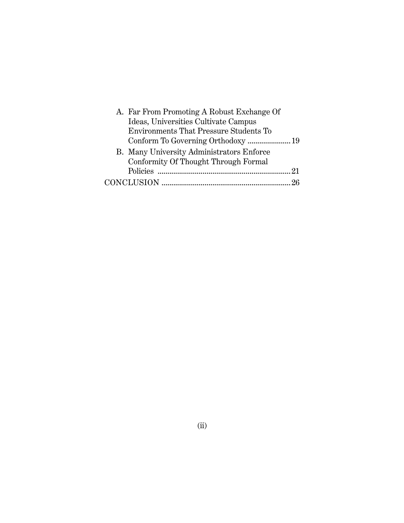| - 21 |
|------|
|      |
|      |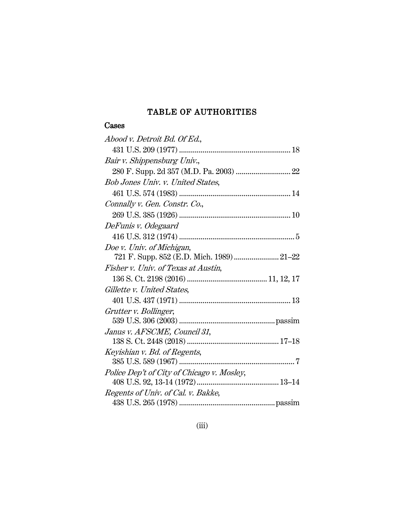## TABLE OF AUTHORITIES

## Cases

| Abood v. Detroit Bd. Of Ed.,               |
|--------------------------------------------|
|                                            |
| Bair v. Shippensburg Univ.,                |
|                                            |
| Bob Jones Univ. v. United States,          |
|                                            |
| Connally v. Gen. Constr. Co.,              |
|                                            |
| DeFunis v. Odegaard                        |
|                                            |
| Doe v. Univ. of Michigan,                  |
| 721 F. Supp. 852 (E.D. Mich. 1989) 21-22   |
| Fisher v. Univ. of Texas at Austin,        |
|                                            |
| Gillette v. United States,                 |
|                                            |
| Grutter v. Bollinger,                      |
|                                            |
| Janus v. AFSCME, Council 31,               |
|                                            |
| Keyishian v. Bd. of Regents,               |
|                                            |
| Police Dep't of City of Chicago v. Mosley, |
| Regents of Univ. of Cal. v. Bakke,         |
|                                            |
|                                            |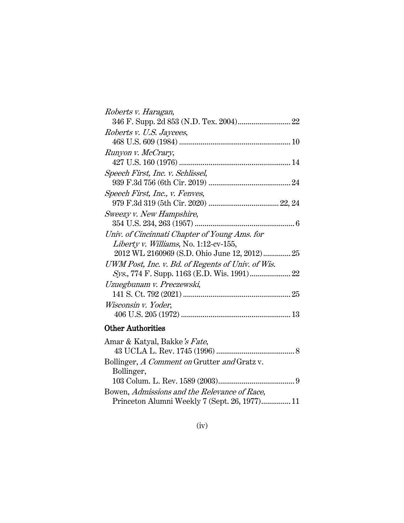| Roberts v. Haragan,                               |
|---------------------------------------------------|
|                                                   |
| Roberts v. U.S. Jaycees,                          |
|                                                   |
| Runyon v. McCrary,                                |
|                                                   |
| Speech First, Inc. v. Schlissel,                  |
|                                                   |
| Speech First, Inc., v. Fenves,                    |
|                                                   |
| Sweezy v. New Hampshire,                          |
|                                                   |
| Univ. of Cincinnati Chapter of Young Ams. for     |
| Liberty v. Williams, No. 1:12-cv-155,             |
| 2012 WL 2160969 (S.D. Ohio June 12, 2012)25       |
| UWM Post, Inc. v. Bd. of Regents of Univ. of Wis. |
|                                                   |
| Uzuegbunam v. Preczewski,                         |
|                                                   |
| Wisconsin v. Yoder,                               |
|                                                   |
|                                                   |

## Other Authorities

| Amar & Katyal, Bakke's Fate,                  |  |
|-----------------------------------------------|--|
|                                               |  |
| Bollinger, A Comment on Grutter and Gratz v.  |  |
| Bollinger,                                    |  |
|                                               |  |
| Bowen, Admissions and the Relevance of Race,  |  |
| Princeton Alumni Weekly 7 (Sept. 26, 1977) 11 |  |
|                                               |  |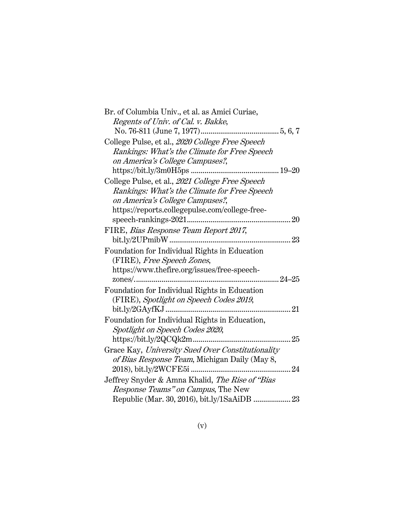| Br. of Columbia Univ., et al. as Amici Curiae,    |     |
|---------------------------------------------------|-----|
| Regents of Univ. of Cal. v. Bakke,                |     |
|                                                   |     |
| College Pulse, et al., 2020 College Free Speech   |     |
| Rankings: What's the Climate for Free Speech      |     |
| on America's College Campuses?,                   |     |
|                                                   |     |
| College Pulse, et al., 2021 College Free Speech   |     |
| Rankings: What's the Climate for Free Speech      |     |
| on America's College Campuses?,                   |     |
| https://reports.collegepulse.com/college-free-    |     |
|                                                   |     |
| FIRE, Bias Response Team Report 2017,             |     |
|                                                   | .23 |
| Foundation for Individual Rights in Education     |     |
| (FIRE), Free Speech Zones,                        |     |
| https://www.thefire.org/issues/free-speech-       |     |
|                                                   |     |
| Foundation for Individual Rights in Education     |     |
| (FIRE), Spotlight on Speech Codes 2019,           |     |
|                                                   | 21  |
| Foundation for Individual Rights in Education,    |     |
| Spotlight on Speech Codes 2020,                   |     |
| https://bit.ly/2QCQk2m                            | 25  |
| Grace Kay, University Sued Over Constitutionality |     |
| of Bias Response Team, Michigan Daily (May 8,     |     |
|                                                   |     |
| Jeffrey Snyder & Amna Khalid, The Rise of "Bias   |     |
| Response Teams" on Campus, The New                |     |
| Republic (Mar. 30, 2016), bit.ly/1SaAiDB  23      |     |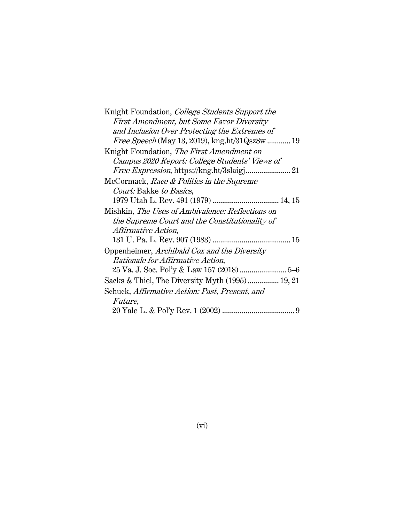| Knight Foundation, <i>College Students Support the</i> |
|--------------------------------------------------------|
| First Amendment, but Some Favor Diversity              |
| and Inclusion Over Protecting the Extremes of          |
| <i>Free Speech</i> (May 13, 2019), kng.ht/31Qsz8w  19  |
| Knight Foundation, The First Amendment on              |
| Campus 2020 Report: College Students' Views of         |
|                                                        |
| McCormack, Race & Politics in the Supreme              |
| Court: Bakke to Basics,                                |
|                                                        |
| Mishkin, The Uses of Ambivalence: Reflections on       |
| the Supreme Court and the Constitutionality of         |
| <i>Affirmative Action,</i>                             |
|                                                        |
| Oppenheimer, <i>Archibald Cox and the Diversity</i>    |
| Rationale for Affirmative Action,                      |
|                                                        |
| Sacks & Thiel, The Diversity Myth (1995) 19, 21        |
| Schuck, <i>Affirmative Action: Past, Present, and</i>  |
| <i>Future,</i>                                         |
| 9                                                      |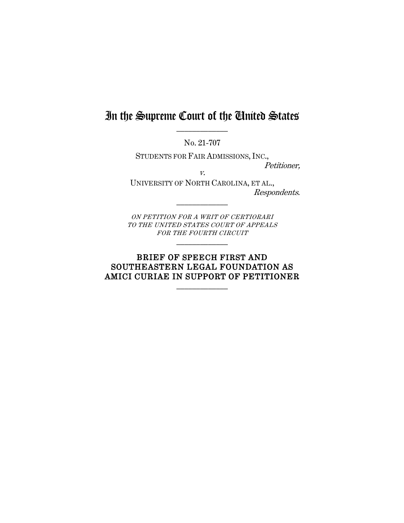# In the Supreme Court of the United States  $\frac{1}{2}$

No. 21-707

STUDENTS FOR FAIR ADMISSIONS, INC.,

v.

Petitioner,

UNIVERSITY OF NORTH CAROLINA, ET AL., Respondents.

ON PETITION FOR A WRIT OF CERTIORARI TO THE UNITED STATES COURT OF APPEALS FOR THE FOURTH CIRCUIT  $\frac{1}{2}$ 

 $\frac{1}{2}$ 

## BRIEF OF SPEECH FIRST AND SOUTHEASTERN LEGAL FOUNDATION AS AMICI CURIAE IN SUPPORT OF PETITIONER

 $\frac{1}{2}$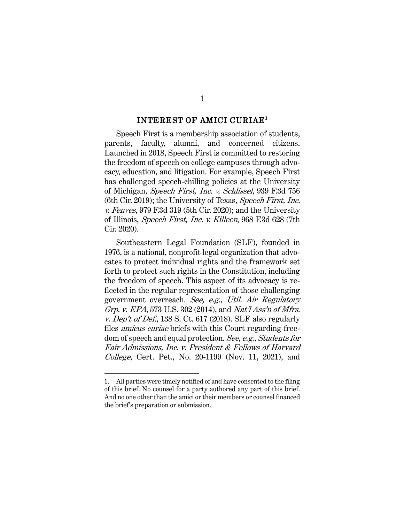#### INTEREST OF AMICI CURIAE<sup>1</sup>

Speech First is a membership association of students, parents, faculty, alumni, and concerned citizens. Launched in 2018, Speech First is committed to restoring the freedom of speech on college campuses through advocacy, education, and litigation. For example, Speech First has challenged speech-chilling policies at the University of Michigan, Speech First, Inc. v. Schlissel, 939 F.3d 756 (6th Cir. 2019); the University of Texas, Speech First, Inc. v. Fenves, 979 F.3d 319 (5th Cir. 2020); and the University of Illinois, Speech First, Inc. v. Killeen, 968 F.3d 628 (7th Cir. 2020).

Southeastern Legal Foundation (SLF), founded in 1976, is a national, nonprofit legal organization that advocates to protect individual rights and the framework set forth to protect such rights in the Constitution, including the freedom of speech. This aspect of its advocacy is reflected in the regular representation of those challenging government overreach. See, e.g., Util. Air Regulatory Grp. v. EPA, 573 U.S. 302 (2014), and Nat'l Ass'n of Mfrs. v. Dep't of Def., 138 S. Ct. 617 (2018). SLF also regularly files *amicus curiae* briefs with this Court regarding freedom of speech and equal protection. See, e.g., Students for Fair Admissions, Inc. v. President & Fellows of Harvard College, Cert. Pet., No. 20-1199 (Nov. 11, 2021), and

<sup>1.</sup> All parties were timely notified of and have consented to the filing of this brief. No counsel for a party authored any part of this brief. And no one other than the amici or their members or counsel financed the brief's preparation or submission.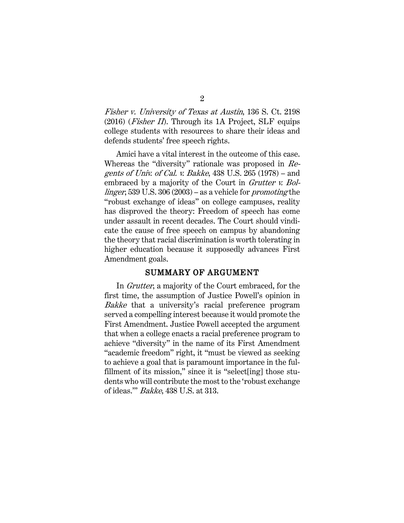Fisher v. University of Texas at Austin, 136 S. Ct. 2198  $(2016)$  (*Fisher II*). Through its 1A Project, SLF equips college students with resources to share their ideas and defends students' free speech rights.

Amici have a vital interest in the outcome of this case. Whereas the "diversity" rationale was proposed in Regents of Univ. of Cal. v. Bakke, 438 U.S. 265 (1978) – and embraced by a majority of the Court in Grutter v. Bollinger, 539 U.S. 306 (2003) – as a vehicle for promoting the "robust exchange of ideas" on college campuses, reality has disproved the theory: Freedom of speech has come under assault in recent decades. The Court should vindicate the cause of free speech on campus by abandoning the theory that racial discrimination is worth tolerating in higher education because it supposedly advances First Amendment goals.

#### SUMMARY OF ARGUMENT

In Grutter, a majority of the Court embraced, for the first time, the assumption of Justice Powell's opinion in Bakke that a university's racial preference program served a compelling interest because it would promote the First Amendment. Justice Powell accepted the argument that when a college enacts a racial preference program to achieve "diversity" in the name of its First Amendment "academic freedom" right, it "must be viewed as seeking to achieve a goal that is paramount importance in the fulfillment of its mission," since it is "select[ing] those students who will contribute the most to the 'robust exchange of ideas.'" Bakke, 438 U.S. at 313.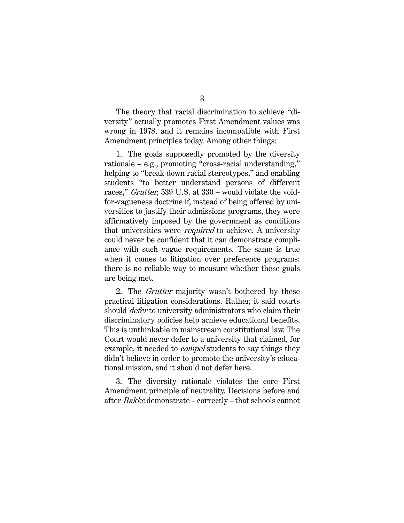The theory that racial discrimination to achieve "diversity" actually promotes First Amendment values was wrong in 1978, and it remains incompatible with First Amendment principles today. Among other things:

1. The goals supposedly promoted by the diversity rationale – e.g., promoting "cross-racial understanding," helping to "break down racial stereotypes," and enabling students "to better understand persons of different races," Grutter, 539 U.S. at 330 – would violate the voidfor-vagueness doctrine if, instead of being offered by universities to justify their admissions programs, they were affirmatively imposed by the government as conditions that universities were *required* to achieve. A university could never be confident that it can demonstrate compliance with such vague requirements. The same is true when it comes to litigation over preference programs: there is no reliable way to measure whether these goals are being met.

2. The *Grutter* majority wasn't bothered by these practical litigation considerations. Rather, it said courts should *defer* to university administrators who claim their discriminatory policies help achieve educational benefits. This is unthinkable in mainstream constitutional law. The Court would never defer to a university that claimed, for example, it needed to *compel* students to say things they didn't believe in order to promote the university's educational mission, and it should not defer here.

3. The diversity rationale violates the core First Amendment principle of neutrality. Decisions before and after Bakke demonstrate – correctly – that schools cannot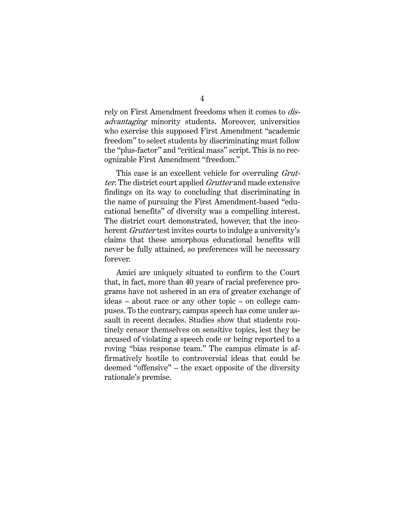rely on First Amendment freedoms when it comes to *dis*advantaging minority students. Moreover, universities who exercise this supposed First Amendment "academic freedom" to select students by discriminating must follow the "plus-factor" and "critical mass" script. This is no recognizable First Amendment "freedom."

This case is an excellent vehicle for overruling *Grut*ter. The district court applied *Grutter* and made extensive findings on its way to concluding that discriminating in the name of pursuing the First Amendment-based "educational benefits" of diversity was a compelling interest. The district court demonstrated, however, that the incoherent *Grutter* test invites courts to indulge a university's claims that these amorphous educational benefits will never be fully attained, so preferences will be necessary forever.

Amici are uniquely situated to confirm to the Court that, in fact, more than 40 years of racial preference programs have not ushered in an era of greater exchange of ideas – about race or any other topic – on college campuses. To the contrary, campus speech has come under assault in recent decades. Studies show that students routinely censor themselves on sensitive topics, lest they be accused of violating a speech code or being reported to a roving "bias response team." The campus climate is affirmatively hostile to controversial ideas that could be deemed "offensive" – the exact opposite of the diversity rationale's premise.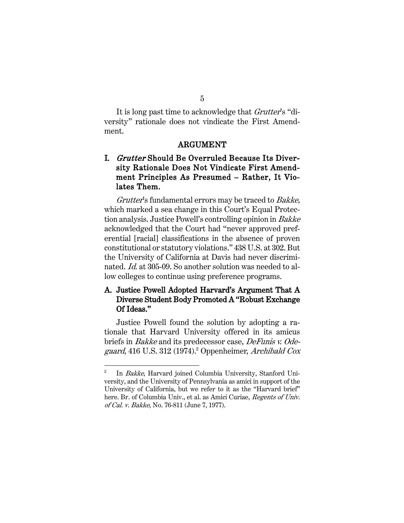It is long past time to acknowledge that *Grutter's* "diversity" rationale does not vindicate the First Amendment.

#### ARGUMENT

## I. Grutter Should Be Overruled Because Its Diversity Rationale Does Not Vindicate First Amendment Principles As Presumed – Rather, It Violates Them.

Grutter's fundamental errors may be traced to Bakke, which marked a sea change in this Court's Equal Protection analysis. Justice Powell's controlling opinion in Bakke acknowledged that the Court had "never approved preferential [racial] classifications in the absence of proven constitutional or statutory violations." 438 U.S. at 302. But the University of California at Davis had never discriminated. Id. at 305-09. So another solution was needed to allow colleges to continue using preference programs.

### A. Justice Powell Adopted Harvard's Argument That A Diverse Student Body Promoted A "Robust Exchange Of Ideas."

Justice Powell found the solution by adopting a rationale that Harvard University offered in its amicus briefs in Bakke and its predecessor case, DeFunis v. Odegaard, 416 U.S. 312 (1974).<sup>2</sup> Oppenheimer, Archibald Cox

<sup>&</sup>lt;sup>2</sup> In Bakke, Harvard joined Columbia University, Stanford University, and the University of Pennsylvania as amici in support of the University of California, but we refer to it as the "Harvard brief" here. Br. of Columbia Univ., et al. as Amici Curiae, Regents of Univ. of Cal. v. Bakke, No. 76-811 (June 7, 1977).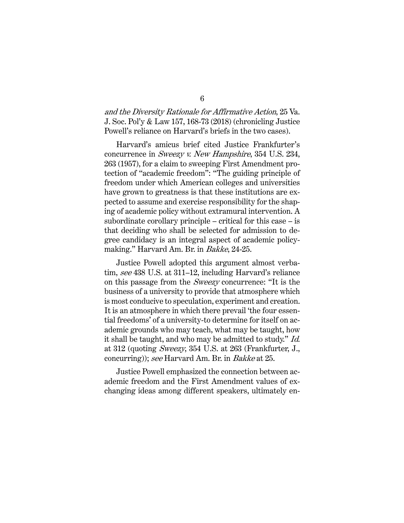and the Diversity Rationale for Affirmative Action, 25 Va. J. Soc. Pol'y & Law 157, 168-73 (2018) (chronicling Justice Powell's reliance on Harvard's briefs in the two cases).

Harvard's amicus brief cited Justice Frankfurter's concurrence in Sweezy v. New Hampshire, 354 U.S. 234, 263 (1957), for a claim to sweeping First Amendment protection of "academic freedom": "The guiding principle of freedom under which American colleges and universities have grown to greatness is that these institutions are expected to assume and exercise responsibility for the shaping of academic policy without extramural intervention. A subordinate corollary principle – critical for this case – is that deciding who shall be selected for admission to degree candidacy is an integral aspect of academic policymaking." Harvard Am. Br. in Bakke, 24-25.

Justice Powell adopted this argument almost verbatim, see 438 U.S. at 311–12, including Harvard's reliance on this passage from the Sweezy concurrence: "It is the business of a university to provide that atmosphere which is most conducive to speculation, experiment and creation. It is an atmosphere in which there prevail 'the four essential freedoms' of a university-to determine for itself on academic grounds who may teach, what may be taught, how it shall be taught, and who may be admitted to study." Id. at 312 (quoting Sweezy, 354 U.S. at 263 (Frankfurter, J., concurring)); see Harvard Am. Br. in Bakke at 25.

Justice Powell emphasized the connection between academic freedom and the First Amendment values of exchanging ideas among different speakers, ultimately en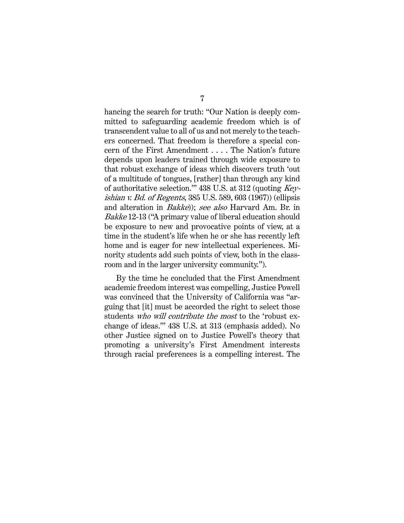hancing the search for truth: "Our Nation is deeply committed to safeguarding academic freedom which is of transcendent value to all of us and not merely to the teachers concerned. That freedom is therefore a special concern of the First Amendment . . . . The Nation's future depends upon leaders trained through wide exposure to that robust exchange of ideas which discovers truth 'out of a multitude of tongues, [rather] than through any kind of authoritative selection.'" 438 U.S. at 312 (quoting Keyishian v. Bd. of Regents, 385 U.S. 589, 603 (1967)) (ellipsis and alteration in Bakke)); see also Harvard Am. Br. in Bakke 12-13 ("A primary value of liberal education should be exposure to new and provocative points of view, at a time in the student's life when he or she has recently left home and is eager for new intellectual experiences. Minority students add such points of view, both in the classroom and in the larger university community.").

By the time he concluded that the First Amendment academic freedom interest was compelling, Justice Powell was convinced that the University of California was "arguing that [it] must be accorded the right to select those students who will contribute the most to the 'robust exchange of ideas.'" 438 U.S. at 313 (emphasis added). No other Justice signed on to Justice Powell's theory that promoting a university's First Amendment interests through racial preferences is a compelling interest. The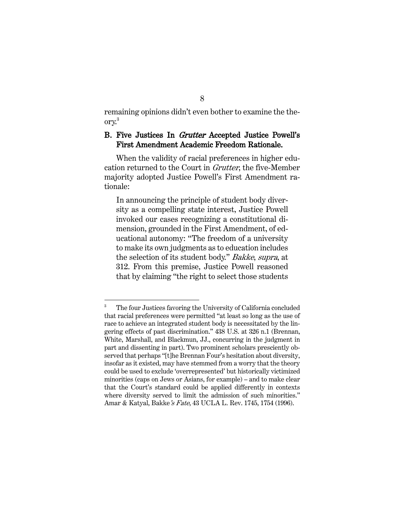remaining opinions didn't even bother to examine the theory. 3

### B. Five Justices In Grutter Accepted Justice Powell's First Amendment Academic Freedom Rationale.

When the validity of racial preferences in higher education returned to the Court in Grutter, the five-Member majority adopted Justice Powell's First Amendment rationale:

In announcing the principle of student body diversity as a compelling state interest, Justice Powell invoked our cases recognizing a constitutional dimension, grounded in the First Amendment, of educational autonomy: "The freedom of a university to make its own judgments as to education includes the selection of its student body." Bakke, supra, at 312. From this premise, Justice Powell reasoned that by claiming "the right to select those students

<sup>&</sup>lt;sup>3</sup> The four Justices favoring the University of California concluded that racial preferences were permitted "at least so long as the use of race to achieve an integrated student body is necessitated by the lingering effects of past discrimination." 438 U.S. at 326 n.1 (Brennan, White, Marshall, and Blackmun, JJ., concurring in the judgment in part and dissenting in part). Two prominent scholars presciently observed that perhaps "[t]he Brennan Four's hesitation about diversity, insofar as it existed, may have stemmed from a worry that the theory could be used to exclude 'overrepresented' but historically victimized minorities (caps on Jews or Asians, for example) – and to make clear that the Court's standard could be applied differently in contexts where diversity served to limit the admission of such minorities." Amar & Katyal, Bakke's Fate, 43 UCLA L. Rev. 1745, 1754 (1996).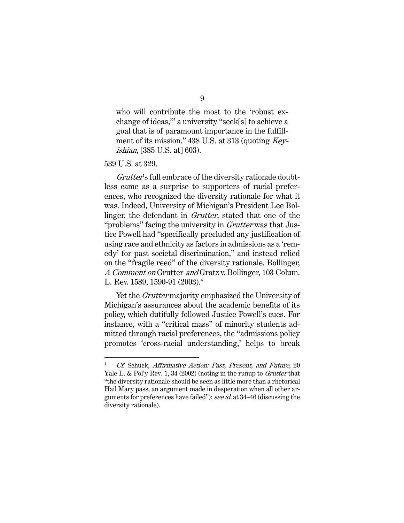who will contribute the most to the 'robust exchange of ideas,'" a university "seek[s] to achieve a goal that is of paramount importance in the fulfillment of its mission." 438 U.S. at 313 (quoting Keyishian, [385 U.S. at] 603).

539 U.S. at 329.

Grutter's full embrace of the diversity rationale doubtless came as a surprise to supporters of racial preferences, who recognized the diversity rationale for what it was. Indeed, University of Michigan's President Lee Bollinger, the defendant in *Grutter*, stated that one of the "problems" facing the university in *Grutter* was that Justice Powell had "specifically precluded any justification of using race and ethnicity as factors in admissions as a 'remedy' for past societal discrimination," and instead relied on the "fragile reed" of the diversity rationale. Bollinger, A Comment on Grutter and Gratz v. Bollinger, 103 Colum. L. Rev. 1589, 1590-91 (2003). 4

Yet the *Grutter* majority emphasized the University of Michigan's assurances about the academic benefits of its policy, which dutifully followed Justice Powell's cues. For instance, with a "critical mass" of minority students admitted through racial preferences, the "admissions policy promotes 'cross-racial understanding,' helps to break

<sup>4</sup> Cf. Schuck, Affirmative Action: Past, Present, and Future, 20 Yale L. & Pol'y Rev. 1, 34 (2002) (noting in the runup to *Grutter* that "the diversity rationale should be seen as little more than a rhetorical Hail Mary pass, an argument made in desperation when all other arguments for preferences have failed"); see id. at 34–46 (discussing the diversity rationale).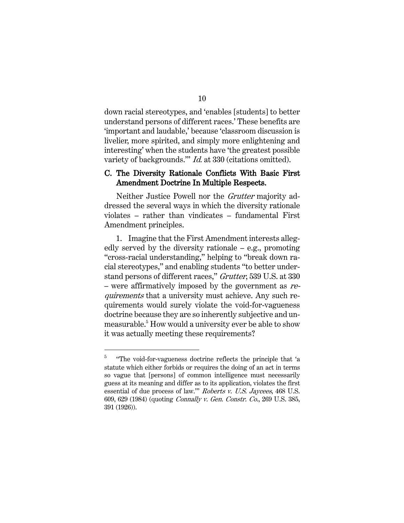down racial stereotypes, and 'enables [students] to better understand persons of different races.' These benefits are 'important and laudable,' because 'classroom discussion is livelier, more spirited, and simply more enlightening and interesting' when the students have 'the greatest possible variety of backgrounds." *Id.* at 330 (citations omitted).

#### C. The Diversity Rationale Conflicts With Basic First Amendment Doctrine In Multiple Respects.

Neither Justice Powell nor the Grutter majority addressed the several ways in which the diversity rationale violates – rather than vindicates – fundamental First Amendment principles.

1. Imagine that the First Amendment interests allegedly served by the diversity rationale – e.g., promoting "cross-racial understanding," helping to "break down racial stereotypes," and enabling students "to better understand persons of different races," Grutter, 539 U.S. at 330 – were affirmatively imposed by the government as requirements that a university must achieve. Any such requirements would surely violate the void-for-vagueness doctrine because they are so inherently subjective and unmeasurable.<sup>5</sup> How would a university ever be able to show it was actually meeting these requirements?

<sup>&</sup>lt;sup>5</sup> "The void-for-vagueness doctrine reflects the principle that 'a statute which either forbids or requires the doing of an act in terms so vague that [persons] of common intelligence must necessarily guess at its meaning and differ as to its application, violates the first essential of due process of law."" Roberts v. U.S. Jaycees, 468 U.S. 609, 629 (1984) (quoting Connally v. Gen. Constr. Co., 269 U.S. 385, 391 (1926)).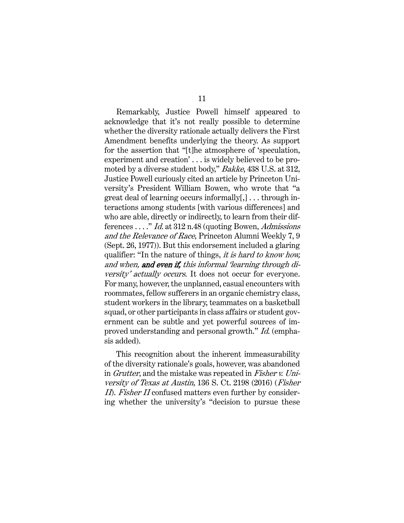Remarkably, Justice Powell himself appeared to acknowledge that it's not really possible to determine whether the diversity rationale actually delivers the First Amendment benefits underlying the theory. As support for the assertion that "[t]he atmosphere of 'speculation, experiment and creation' . . . is widely believed to be promoted by a diverse student body," Bakke, 438 U.S. at 312, Justice Powell curiously cited an article by Princeton University's President William Bowen, who wrote that "a great deal of learning occurs informally[,] . . . through interactions among students [with various differences] and who are able, directly or indirectly, to learn from their differences . . . ." Id. at 312 n.48 (quoting Bowen, Admissions and the Relevance of Race, Princeton Alumni Weekly 7, 9 (Sept. 26, 1977)). But this endorsement included a glaring qualifier: "In the nature of things, it is hard to know how, and when, and even if, this informal 'learning through diversity' actually occurs. It does not occur for everyone. For many, however, the unplanned, casual encounters with roommates, fellow sufferers in an organic chemistry class, student workers in the library, teammates on a basketball squad, or other participants in class affairs or student government can be subtle and yet powerful sources of improved understanding and personal growth." Id. (emphasis added).

This recognition about the inherent immeasurability of the diversity rationale's goals, however, was abandoned in *Grutter*, and the mistake was repeated in *Fisher v. Uni*versity of Texas at Austin, 136 S. Ct. 2198 (2016) (Fisher II). Fisher II confused matters even further by considering whether the university's "decision to pursue these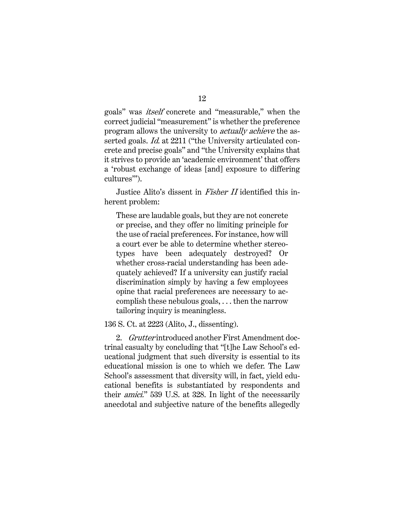goals" was itself concrete and "measurable," when the correct judicial "measurement" is whether the preference program allows the university to actually achieve the asserted goals. *Id.* at 2211 ("the University articulated concrete and precise goals" and "the University explains that it strives to provide an 'academic environment' that offers a 'robust exchange of ideas [and] exposure to differing cultures'").

Justice Alito's dissent in *Fisher II* identified this inherent problem:

These are laudable goals, but they are not concrete or precise, and they offer no limiting principle for the use of racial preferences. For instance, how will a court ever be able to determine whether stereotypes have been adequately destroyed? Or whether cross-racial understanding has been adequately achieved? If a university can justify racial discrimination simply by having a few employees opine that racial preferences are necessary to accomplish these nebulous goals, . . . then the narrow tailoring inquiry is meaningless.

136 S. Ct. at 2223 (Alito, J., dissenting).

2. Grutter introduced another First Amendment doctrinal casualty by concluding that "[t]he Law School's educational judgment that such diversity is essential to its educational mission is one to which we defer. The Law School's assessment that diversity will, in fact, yield educational benefits is substantiated by respondents and their amici." 539 U.S. at 328. In light of the necessarily anecdotal and subjective nature of the benefits allegedly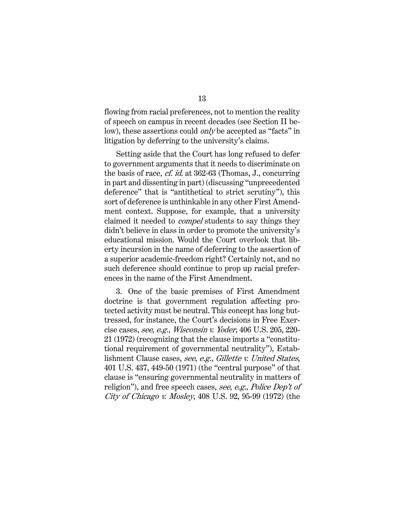flowing from racial preferences, not to mention the reality of speech on campus in recent decades (see Section II below), these assertions could *only* be accepted as "facts" in litigation by deferring to the university's claims.

Setting aside that the Court has long refused to defer to government arguments that it needs to discriminate on the basis of race, cf. id. at 362-63 (Thomas, J., concurring in part and dissenting in part) (discussing "unprecedented deference" that is "antithetical to strict scrutiny"), this sort of deference is unthinkable in any other First Amendment context. Suppose, for example, that a university claimed it needed to compel students to say things they didn't believe in class in order to promote the university's educational mission. Would the Court overlook that liberty incursion in the name of deferring to the assertion of a superior academic-freedom right? Certainly not, and no such deference should continue to prop up racial preferences in the name of the First Amendment.

3. One of the basic premises of First Amendment doctrine is that government regulation affecting protected activity must be neutral. This concept has long buttressed, for instance, the Court's decisions in Free Exercise cases, see, e.g., Wisconsin v. Yoder, 406 U.S. 205, 220- 21 (1972) (recognizing that the clause imports a "constitutional requirement of governmental neutrality"), Establishment Clause cases, see, e.g., Gillette v. United States, 401 U.S. 437, 449-50 (1971) (the "central purpose" of that clause is "ensuring governmental neutrality in matters of religion"), and free speech cases, see, e.g., Police Dep't of City of Chicago v. Mosley, 408 U.S. 92, 95-99 (1972) (the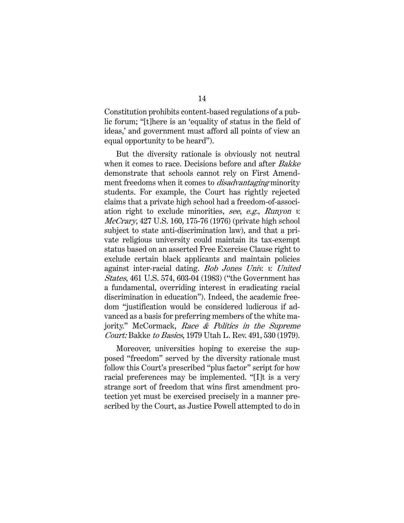Constitution prohibits content-based regulations of a public forum; "[t]here is an 'equality of status in the field of ideas,' and government must afford all points of view an equal opportunity to be heard").

But the diversity rationale is obviously not neutral when it comes to race. Decisions before and after Bakke demonstrate that schools cannot rely on First Amendment freedoms when it comes to *disadvantaging* minority students. For example, the Court has rightly rejected claims that a private high school had a freedom-of-association right to exclude minorities, see, e.g., Runyon v. McCrary, 427 U.S. 160, 175-76 (1976) (private high school subject to state anti-discrimination law), and that a private religious university could maintain its tax-exempt status based on an asserted Free Exercise Clause right to exclude certain black applicants and maintain policies against inter-racial dating. Bob Jones Univ. v. United States, 461 U.S. 574, 603-04 (1983) ("the Government has a fundamental, overriding interest in eradicating racial discrimination in education"). Indeed, the academic freedom "justification would be considered ludicrous if advanced as a basis for preferring members of the white majority." McCormack, Race & Politics in the Supreme Court: Bakke to Basics, 1979 Utah L. Rev. 491, 530 (1979).

Moreover, universities hoping to exercise the supposed "freedom" served by the diversity rationale must follow this Court's prescribed "plus factor" script for how racial preferences may be implemented. "[I]t is a very strange sort of freedom that wins first amendment protection yet must be exercised precisely in a manner prescribed by the Court, as Justice Powell attempted to do in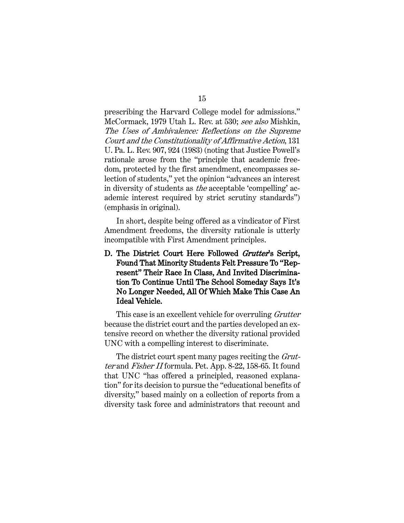prescribing the Harvard College model for admissions." McCormack, 1979 Utah L. Rev. at 530; see also Mishkin, The Uses of Ambivalence: Reflections on the Supreme Court and the Constitutionality of Affirmative Action, 131 U. Pa. L. Rev. 907, 924 (1983) (noting that Justice Powell's rationale arose from the "principle that academic freedom, protected by the first amendment, encompasses selection of students," yet the opinion "advances an interest in diversity of students as the acceptable 'compelling' academic interest required by strict scrutiny standards") (emphasis in original).

In short, despite being offered as a vindicator of First Amendment freedoms, the diversity rationale is utterly incompatible with First Amendment principles.

D. The District Court Here Followed Grutter's Script, Found That Minority Students Felt Pressure To "Represent" Their Race In Class, And Invited Discrimination To Continue Until The School Someday Says It's No Longer Needed, All Of Which Make This Case An Ideal Vehicle.

This case is an excellent vehicle for overruling *Grutter* because the district court and the parties developed an extensive record on whether the diversity rational provided UNC with a compelling interest to discriminate.

The district court spent many pages reciting the *Grut*ter and Fisher II formula. Pet. App. 8-22, 158-65. It found that UNC "has offered a principled, reasoned explanation" for its decision to pursue the "educational benefits of diversity," based mainly on a collection of reports from a diversity task force and administrators that recount and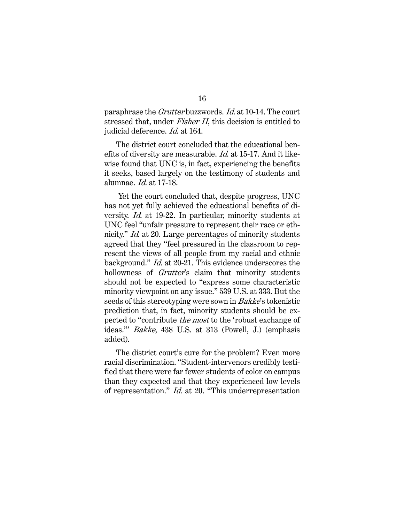paraphrase the Grutter buzzwords. Id. at 10-14. The court stressed that, under *Fisher II*, this decision is entitled to judicial deference. *Id.* at 164.

The district court concluded that the educational benefits of diversity are measurable. Id. at 15-17. And it likewise found that UNC is, in fact, experiencing the benefits it seeks, based largely on the testimony of students and alumnae. Id. at 17-18.

Yet the court concluded that, despite progress, UNC has not yet fully achieved the educational benefits of diversity. Id. at 19-22. In particular, minority students at UNC feel "unfair pressure to represent their race or ethnicity." *Id.* at 20. Large percentages of minority students agreed that they "feel pressured in the classroom to represent the views of all people from my racial and ethnic background." Id. at 20-21. This evidence underscores the hollowness of *Grutter's* claim that minority students should not be expected to "express some characteristic minority viewpoint on any issue." 539 U.S. at 333. But the seeds of this stereotyping were sown in Bakke's tokenistic prediction that, in fact, minority students should be expected to "contribute the most to the 'robust exchange of ideas.'" Bakke, 438 U.S. at 313 (Powell, J.) (emphasis added).

The district court's cure for the problem? Even more racial discrimination. "Student-intervenors credibly testified that there were far fewer students of color on campus than they expected and that they experienced low levels of representation." Id. at 20. "This underrepresentation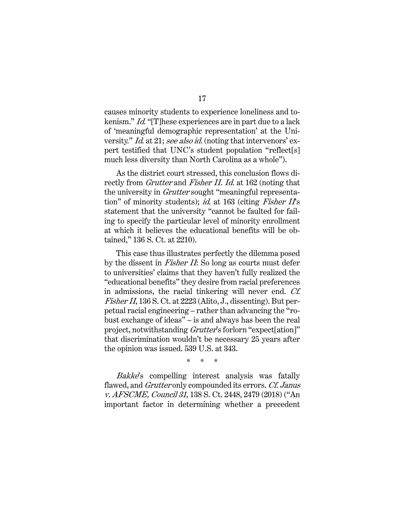causes minority students to experience loneliness and tokenism." Id. "[T]hese experiences are in part due to a lack of 'meaningful demographic representation' at the University." *Id.* at 21; see also id. (noting that intervenors' expert testified that UNC's student population "reflect[s] much less diversity than North Carolina as a whole").

As the district court stressed, this conclusion flows directly from *Grutter* and *Fisher II. Id.* at 162 (noting that the university in *Grutter* sought "meaningful representation" of minority students); id. at  $163$  (citing Fisher II's statement that the university "cannot be faulted for failing to specify the particular level of minority enrollment at which it believes the educational benefits will be obtained," 136 S. Ct. at 2210).

This case thus illustrates perfectly the dilemma posed by the dissent in Fisher II: So long as courts must defer to universities' claims that they haven't fully realized the "educational benefits" they desire from racial preferences in admissions, the racial tinkering will never end. Cf. Fisher II, 136 S. Ct. at 2223 (Alito, J., dissenting). But perpetual racial engineering – rather than advancing the "robust exchange of ideas" – is and always has been the real project, notwithstanding Grutter's forlorn "expect[ation]" that discrimination wouldn't be necessary 25 years after the opinion was issued. 539 U.S. at 343.

\* \* \*

Bakke's compelling interest analysis was fatally flawed, and Grutter only compounded its errors. Cf. Janus v. AFSCME, Council 31, 138 S. Ct. 2448, 2479 (2018) ("An important factor in determining whether a precedent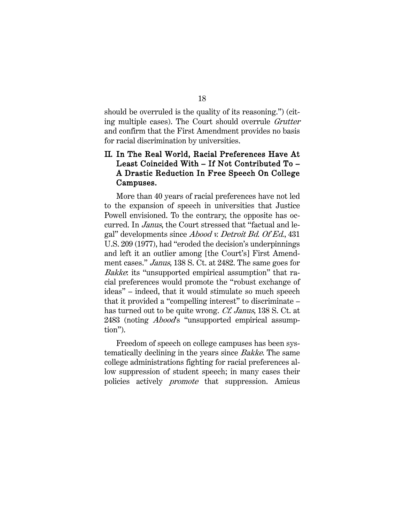should be overruled is the quality of its reasoning.") (citing multiple cases). The Court should overrule Grutter and confirm that the First Amendment provides no basis for racial discrimination by universities.

## II. In The Real World, Racial Preferences Have At Least Coincided With – If Not Contributed To – A Drastic Reduction In Free Speech On College Campuses.

More than 40 years of racial preferences have not led to the expansion of speech in universities that Justice Powell envisioned. To the contrary, the opposite has occurred. In Janus, the Court stressed that "factual and legal" developments since Abood v. Detroit Bd. Of Ed., 431 U.S. 209 (1977), had "eroded the decision's underpinnings and left it an outlier among [the Court's] First Amendment cases." *Janus*, 138 S. Ct. at 2482. The same goes for Bakke: its "unsupported empirical assumption" that racial preferences would promote the "robust exchange of ideas" – indeed, that it would stimulate so much speech that it provided a "compelling interest" to discriminate – has turned out to be quite wrong. *Cf. Janus*, 138 S. Ct. at 2483 (noting *Abood*'s "unsupported empirical assumption").

Freedom of speech on college campuses has been systematically declining in the years since Bakke. The same college administrations fighting for racial preferences allow suppression of student speech; in many cases their policies actively promote that suppression. Amicus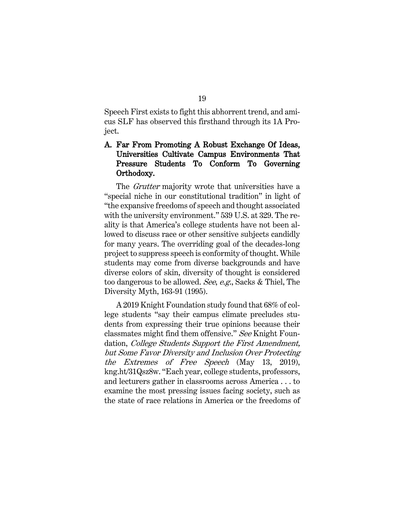Speech First exists to fight this abhorrent trend, and amicus SLF has observed this firsthand through its 1A Project.

### A. Far From Promoting A Robust Exchange Of Ideas, Universities Cultivate Campus Environments That Pressure Students To Conform To Governing Orthodoxy.

The *Grutter* majority wrote that universities have a "special niche in our constitutional tradition" in light of "the expansive freedoms of speech and thought associated with the university environment." 539 U.S. at 329. The reality is that America's college students have not been allowed to discuss race or other sensitive subjects candidly for many years. The overriding goal of the decades-long project to suppress speech is conformity of thought. While students may come from diverse backgrounds and have diverse colors of skin, diversity of thought is considered too dangerous to be allowed. See, e.g., Sacks & Thiel, The Diversity Myth, 163-91 (1995).

A 2019 Knight Foundation study found that 68% of college students "say their campus climate precludes students from expressing their true opinions because their classmates might find them offensive." See Knight Foundation, *College Students Support the First Amendment*, but Some Favor Diversity and Inclusion Over Protecting the Extremes of Free Speech (May 13, 2019), kng.ht/31Qsz8w. "Each year, college students, professors, and lecturers gather in classrooms across America . . . to examine the most pressing issues facing society, such as the state of race relations in America or the freedoms of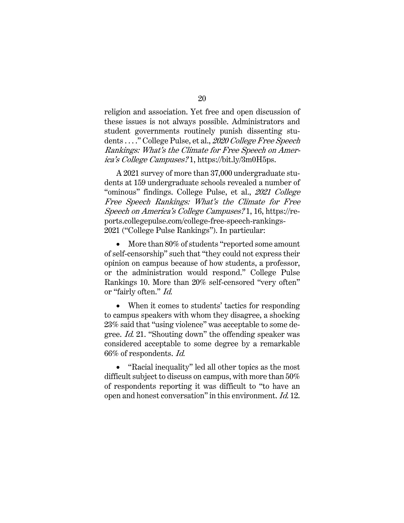religion and association. Yet free and open discussion of these issues is not always possible. Administrators and student governments routinely punish dissenting students ...." College Pulse, et al., 2020 College Free Speech Rankings: What's the Climate for Free Speech on America's College Campuses? 1, https://bit.ly/3m0H5ps.

A 2021 survey of more than 37,000 undergraduate students at 159 undergraduate schools revealed a number of "ominous" findings. College Pulse, et al., 2021 College Free Speech Rankings: What's the Climate for Free Speech on America's College Campuses? 1, 16, https://reports.collegepulse.com/college-free-speech-rankings-2021 ("College Pulse Rankings"). In particular:

• More than 80% of students "reported some amount of self-censorship" such that "they could not express their opinion on campus because of how students, a professor, or the administration would respond." College Pulse Rankings 10. More than 20% self-censored "very often" or "fairly often." Id.

• When it comes to students' tactics for responding to campus speakers with whom they disagree, a shocking 23% said that "using violence" was acceptable to some degree. Id. 21. "Shouting down" the offending speaker was considered acceptable to some degree by a remarkable 66% of respondents. Id.

• "Racial inequality" led all other topics as the most difficult subject to discuss on campus, with more than 50% of respondents reporting it was difficult to "to have an open and honest conversation" in this environment. Id. 12.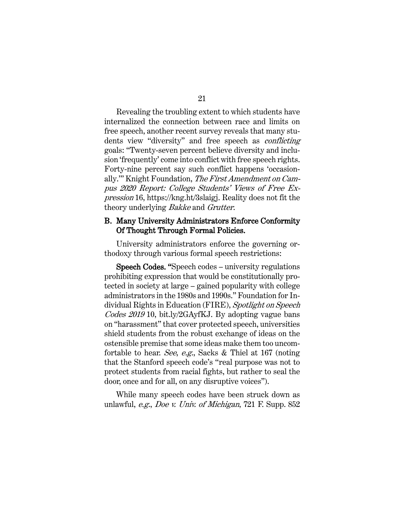Revealing the troubling extent to which students have internalized the connection between race and limits on free speech, another recent survey reveals that many students view "diversity" and free speech as conflicting goals: "Twenty-seven percent believe diversity and inclusion 'frequently' come into conflict with free speech rights. Forty-nine percent say such conflict happens 'occasionally.'" Knight Foundation, The First Amendment on Campus 2020 Report: College Students' Views of Free Expression 16, https://kng.ht/3slaigj. Reality does not fit the theory underlying *Bakke* and *Grutter*.

#### B. Many University Administrators Enforce Conformity Of Thought Through Formal Policies.

University administrators enforce the governing orthodoxy through various formal speech restrictions:

 Speech Codes. "Speech codes – university regulations prohibiting expression that would be constitutionally protected in society at large – gained popularity with college administrators in the 1980s and 1990s." Foundation for Individual Rights in Education (FIRE), Spotlight on Speech Codes 2019 10, bit.ly/2GAyfKJ. By adopting vague bans on "harassment" that cover protected speech, universities shield students from the robust exchange of ideas on the ostensible premise that some ideas make them too uncomfortable to hear. See, e.g., Sacks & Thiel at 167 (noting that the Stanford speech code's "real purpose was not to protect students from racial fights, but rather to seal the door, once and for all, on any disruptive voices").

While many speech codes have been struck down as unlawful, e.g., Doe v. Univ. of Michigan, 721 F. Supp. 852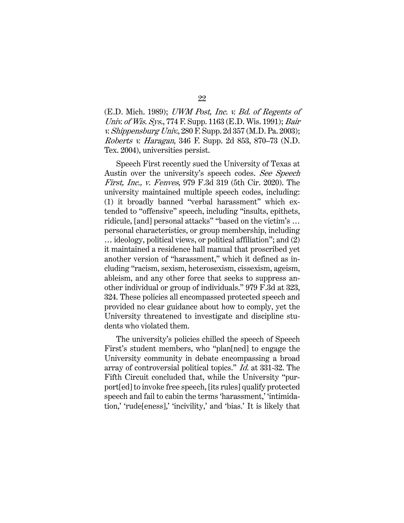(E.D. Mich. 1989); UWM Post, Inc. v. Bd. of Regents of Univ. of Wis. Sys., 774 F. Supp. 1163 (E.D. Wis. 1991); Bair v. Shippensburg Univ., 280 F. Supp. 2d 357 (M.D. Pa. 2003); Roberts v. Haragan, 346 F. Supp. 2d 853, 870–73 (N.D. Tex. 2004), universities persist.

Speech First recently sued the University of Texas at Austin over the university's speech codes. See Speech First, Inc., v. Fenves, 979 F.3d 319 (5th Cir. 2020). The university maintained multiple speech codes, including: (1) it broadly banned "verbal harassment" which extended to "offensive" speech, including "insults, epithets, ridicule, [and] personal attacks" "based on the victim's … personal characteristics, or group membership, including … ideology, political views, or political affiliation"; and (2) it maintained a residence hall manual that proscribed yet another version of "harassment," which it defined as including "racism, sexism, heterosexism, cissexism, ageism, ableism, and any other force that seeks to suppress another individual or group of individuals." 979 F.3d at 323, 324. These policies all encompassed protected speech and provided no clear guidance about how to comply, yet the University threatened to investigate and discipline students who violated them.

The university's policies chilled the speech of Speech First's student members, who "plan[ned] to engage the University community in debate encompassing a broad array of controversial political topics." Id. at 331-32. The Fifth Circuit concluded that, while the University "purport[ed] to invoke free speech, [its rules] qualify protected speech and fail to cabin the terms 'harassment,' 'intimidation,' 'rude[eness],' 'incivility,' and 'bias.' It is likely that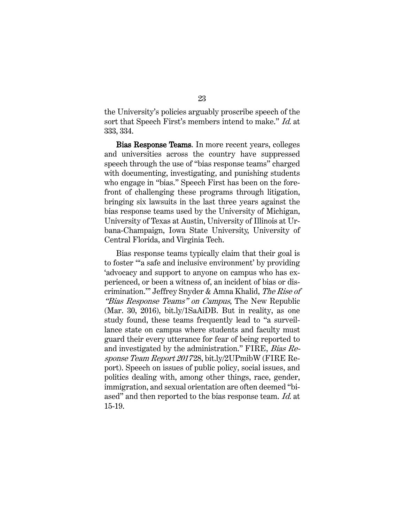the University's policies arguably proscribe speech of the sort that Speech First's members intend to make." Id. at 333, 334.

 Bias Response Teams. In more recent years, colleges and universities across the country have suppressed speech through the use of "bias response teams" charged with documenting, investigating, and punishing students who engage in "bias." Speech First has been on the forefront of challenging these programs through litigation, bringing six lawsuits in the last three years against the bias response teams used by the University of Michigan, University of Texas at Austin, University of Illinois at Urbana-Champaign, Iowa State University, University of Central Florida, and Virginia Tech.

Bias response teams typically claim that their goal is to foster "'a safe and inclusive environment' by providing 'advocacy and support to anyone on campus who has experienced, or been a witness of, an incident of bias or discrimination.'" Jeffrey Snyder & Amna Khalid, The Rise of "Bias Response Teams" on Campus, The New Republic (Mar. 30, 2016), bit.ly/1SaAiDB. But in reality, as one study found, these teams frequently lead to "a surveillance state on campus where students and faculty must guard their every utterance for fear of being reported to and investigated by the administration." FIRE, Bias Response Team Report 201728, bit.ly/2UPmibW (FIRE Report). Speech on issues of public policy, social issues, and politics dealing with, among other things, race, gender, immigration, and sexual orientation are often deemed "biased" and then reported to the bias response team. Id. at 15-19.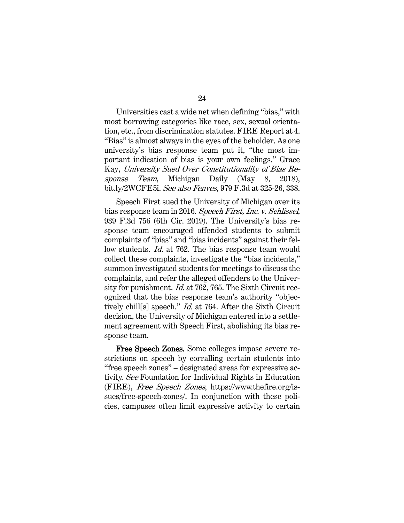Universities cast a wide net when defining "bias," with most borrowing categories like race, sex, sexual orientation, etc., from discrimination statutes. FIRE Report at 4. "Bias" is almost always in the eyes of the beholder. As one university's bias response team put it, "the most important indication of bias is your own feelings." Grace Kay, University Sued Over Constitutionality of Bias Response Team, Michigan Daily (May 8, 2018), bit.ly/2WCFE5i. See also Fenves, 979 F.3d at 325-26, 338.

Speech First sued the University of Michigan over its bias response team in 2016. Speech First, Inc. v. Schlissel, 939 F.3d 756 (6th Cir. 2019). The University's bias response team encouraged offended students to submit complaints of "bias" and "bias incidents" against their fellow students. *Id.* at 762. The bias response team would collect these complaints, investigate the "bias incidents," summon investigated students for meetings to discuss the complaints, and refer the alleged offenders to the University for punishment. *Id.* at 762, 765. The Sixth Circuit recognized that the bias response team's authority "objectively chill[s] speech." Id. at 764. After the Sixth Circuit decision, the University of Michigan entered into a settlement agreement with Speech First, abolishing its bias response team.

 Free Speech Zones. Some colleges impose severe restrictions on speech by corralling certain students into "free speech zones" – designated areas for expressive activity. See Foundation for Individual Rights in Education (FIRE), Free Speech Zones, https://www.thefire.org/issues/free-speech-zones/. In conjunction with these policies, campuses often limit expressive activity to certain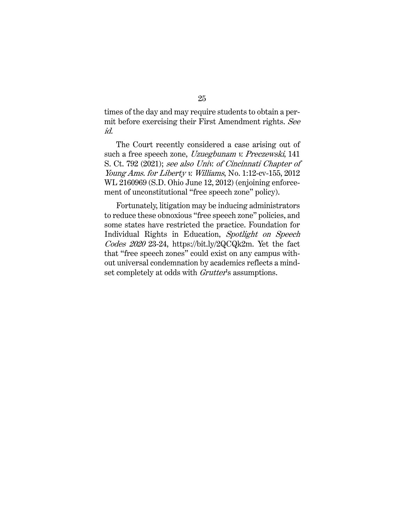times of the day and may require students to obtain a permit before exercising their First Amendment rights. See id.

The Court recently considered a case arising out of such a free speech zone, Uzuegbunam v. Preczewski, 141 S. Ct. 792 (2021); see also Univ. of Cincinnati Chapter of Young Ams. for Liberty v. Williams, No. 1:12-cv-155, 2012 WL 2160969 (S.D. Ohio June 12, 2012) (enjoining enforcement of unconstitutional "free speech zone" policy).

Fortunately, litigation may be inducing administrators to reduce these obnoxious "free speech zone" policies, and some states have restricted the practice. Foundation for Individual Rights in Education, Spotlight on Speech Codes 2020 23-24, https://bit.ly/2QCQk2m. Yet the fact that "free speech zones" could exist on any campus without universal condemnation by academics reflects a mindset completely at odds with *Grutter's* assumptions.